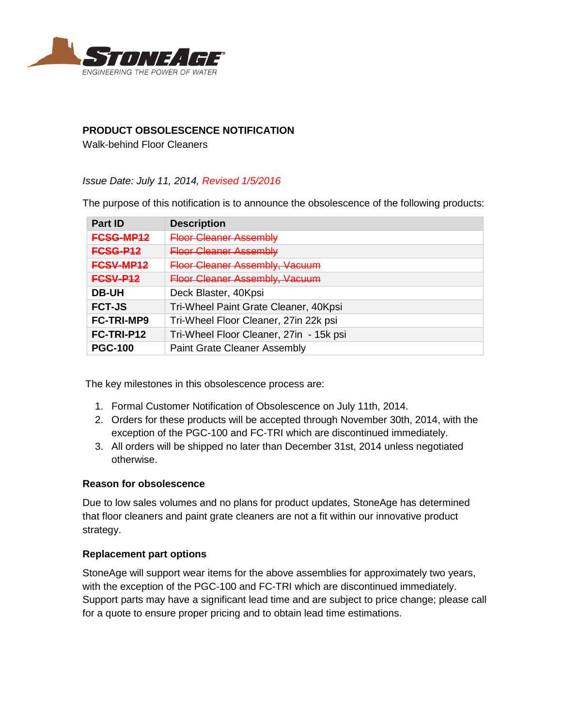

# **PRODUCT OBSOLESCENCE NOTIFICATION**

Walk-behind Floor Cleaners

*Issue Date: July 11, 2014, Revised 1/5/2016*

The purpose of this notification is to announce the obsolescence of the following products:

| <b>Part ID</b>    | <b>Description</b>                      |
|-------------------|-----------------------------------------|
| <b>FCSG-MP12</b>  | <b>Floor Cleaner Assembly</b>           |
| <b>FCSG-P12</b>   | <b>Floor Cleaner Assembly</b>           |
| FCSV-MP12         | <b>Floor Cleaner Assembly, Vacuum</b>   |
| <b>FCSV-P12</b>   | <b>Floor Cleaner Assembly, Vacuum</b>   |
| <b>DB-UH</b>      | Deck Blaster, 40Kpsi                    |
| <b>FCT-JS</b>     | Tri-Wheel Paint Grate Cleaner, 40Kpsi   |
| <b>FC-TRI-MP9</b> | Tri-Wheel Floor Cleaner, 27in 22k psi   |
| FC-TRI-P12        | Tri-Wheel Floor Cleaner, 27in - 15k psi |
| <b>PGC-100</b>    | <b>Paint Grate Cleaner Assembly</b>     |

The key milestones in this obsolescence process are:

- 1. Formal Customer Notification of Obsolescence on July 11th, 2014.
- 2. Orders for these products will be accepted through November 30th, 2014, with the exception of the PGC-100 and FC-TRI which are discontinued immediately.
- 3. All orders will be shipped no later than December 31st, 2014 unless negotiated otherwise.

#### **Reason for obsolescence**

Due to low sales volumes and no plans for product updates, StoneAge has determined that floor cleaners and paint grate cleaners are not a fit within our innovative product strategy.

#### **Replacement part options**

StoneAge will support wear items for the above assemblies for approximately two years, with the exception of the PGC-100 and FC-TRI which are discontinued immediately. Support parts may have a significant lead time and are subject to price change; please call for a quote to ensure proper pricing and to obtain lead time estimations.